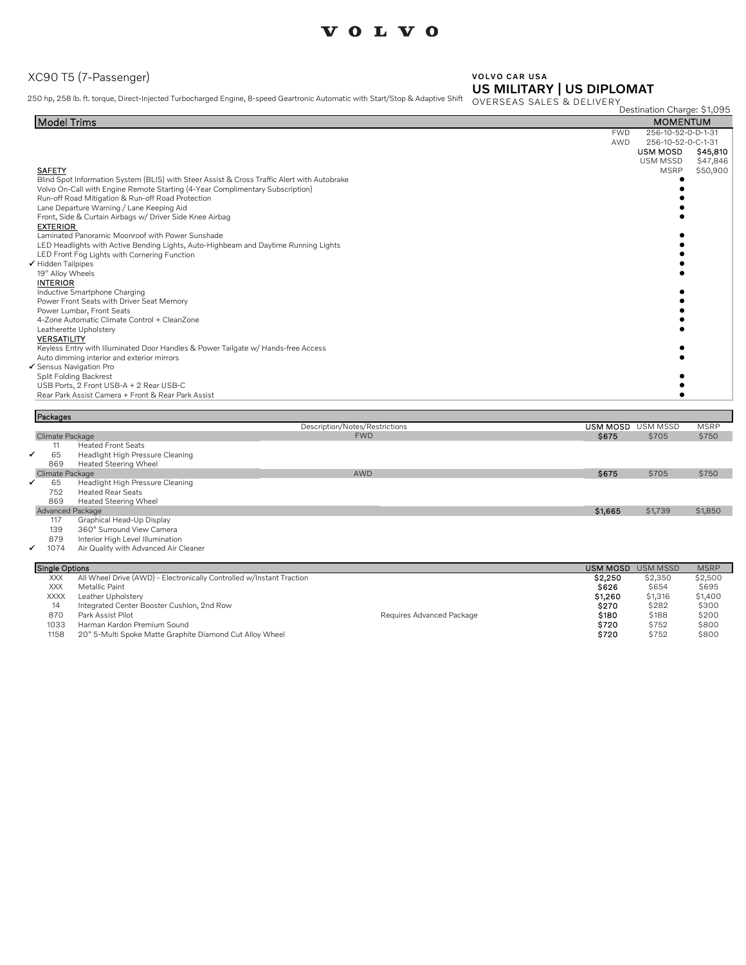### XC90 T5 (7-Passenger)

#### VOLVO CAR USA US MILITARY | US DIPLOMAT

250 hp, 258 lb. ft. torque, Direct-Injected Turbocharged Engine, 8-speed Geartronic Automatic with Start/Stop & Adaptive Shift OVERSEAS SALES & DELIVERY

|                                                                                             |            | Destination Charge: \$1,095 |          |
|---------------------------------------------------------------------------------------------|------------|-----------------------------|----------|
| <b>Model Trims</b>                                                                          |            | <b>MOMENTUM</b>             |          |
|                                                                                             | <b>FWD</b> | 256-10-52-0-D-1-31          |          |
|                                                                                             | AWD        | 256-10-52-0-C-1-31          |          |
|                                                                                             |            | USM MOSD                    | S45,810  |
|                                                                                             |            | USM MSSD                    | \$47,846 |
| <b>SAFETY</b>                                                                               |            | <b>MSRP</b>                 | \$50,900 |
| Blind Spot Information System (BLIS) with Steer Assist & Cross Traffic Alert with Autobrake |            |                             |          |
| Volvo On-Call with Engine Remote Starting (4-Year Complimentary Subscription)               |            |                             |          |
| Run-off Road Mitigation & Run-off Road Protection                                           |            |                             |          |
| Lane Departure Warning / Lane Keeping Aid                                                   |            |                             |          |
| Front, Side & Curtain Airbags w/ Driver Side Knee Airbag                                    |            |                             |          |
| <b>EXTERIOR</b><br>Laminated Panoramic Moonroof with Power Sunshade                         |            |                             |          |
| LED Headlights with Active Bending Lights, Auto-Highbeam and Daytime Running Lights         |            |                             |          |
| LED Front Fog Lights with Cornering Function                                                |            |                             |          |
| Hidden Tailpipes                                                                            |            |                             |          |
| 19" Alloy Wheels                                                                            |            |                             |          |
| <b>INTERIOR</b>                                                                             |            |                             |          |
| Inductive Smartphone Charging                                                               |            |                             |          |
| Power Front Seats with Driver Seat Memory                                                   |            |                             |          |
| Power Lumbar, Front Seats                                                                   |            |                             |          |
| 4-Zone Automatic Climate Control + CleanZone                                                |            |                             |          |
| Leatherette Upholstery                                                                      |            |                             |          |
| <b>VERSATILITY</b>                                                                          |            |                             |          |
| Keyless Entry with Illuminated Door Handles & Power Tailgate w/ Hands-free Access           |            |                             |          |
| Auto dimming interior and exterior mirrors                                                  |            |                             |          |
| ✔ Sensus Navigation Pro                                                                     |            |                             |          |
| Split Folding Backrest                                                                      |            |                             |          |
| USB Ports, 2 Front USB-A + 2 Rear USB-C                                                     |            |                             |          |
| Rear Park Assist Camera + Front & Rear Park Assist                                          |            |                             |          |
|                                                                                             |            |                             |          |

|   | Packages              |                                                                      |                                |                 |                 |             |
|---|-----------------------|----------------------------------------------------------------------|--------------------------------|-----------------|-----------------|-------------|
|   |                       |                                                                      | Description/Notes/Restrictions | USM MOSD        | USM MSSD        | <b>MSRP</b> |
|   | Climate Package       |                                                                      | <b>FWD</b>                     | \$675           | \$705           | \$750       |
|   |                       | <b>Heated Front Seats</b>                                            |                                |                 |                 |             |
| ✔ | 65                    | Headlight High Pressure Cleaning                                     |                                |                 |                 |             |
|   | 869                   | Heated Steering Wheel                                                |                                |                 |                 |             |
|   | Climate Package       |                                                                      | AWD                            | \$675           | \$705           | \$750       |
|   | 65                    | Headlight High Pressure Cleaning                                     |                                |                 |                 |             |
|   | 752                   | <b>Heated Rear Seats</b>                                             |                                |                 |                 |             |
|   | 869                   | Heated Steering Wheel                                                |                                |                 |                 |             |
|   | Advanced Package      |                                                                      |                                | \$1,665         | \$1,739         | \$1,850     |
|   | 117                   | Graphical Head-Up Display                                            |                                |                 |                 |             |
|   | 139                   | 360° Surround View Camera                                            |                                |                 |                 |             |
|   | 879                   | Interior High Level Illumination                                     |                                |                 |                 |             |
|   | 1074<br>$\checkmark$  | Air Quality with Advanced Air Cleaner                                |                                |                 |                 |             |
|   |                       |                                                                      |                                |                 |                 |             |
|   | <b>Single Options</b> |                                                                      |                                | <b>USM MOSD</b> | <b>USM MSSD</b> | <b>MSRP</b> |
|   | <b>XXX</b>            | All Wheel Drive (AWD) - Electronically Controlled w/Instant Traction |                                | \$2,250         | \$2,350         | \$2,500     |

XXX Metallic Paint \$626 \$654 \$695

XXXX Leather Upholstery \$1,316 \$1,400<br>14 Integrated Center Booster Cushion, 2nd Row<br>170 Park Assist Pilot \$282 \$300 \$200 \$200 \$200 \$200 \$300 \$200 \$188 \$200 1033 Harman Kardon Premium Sound \$720 \$752 \$800 1158 20" 5-Multi Spoke Matte Graphite Diamond Cut Alloy Wheel \$720 \$752 \$800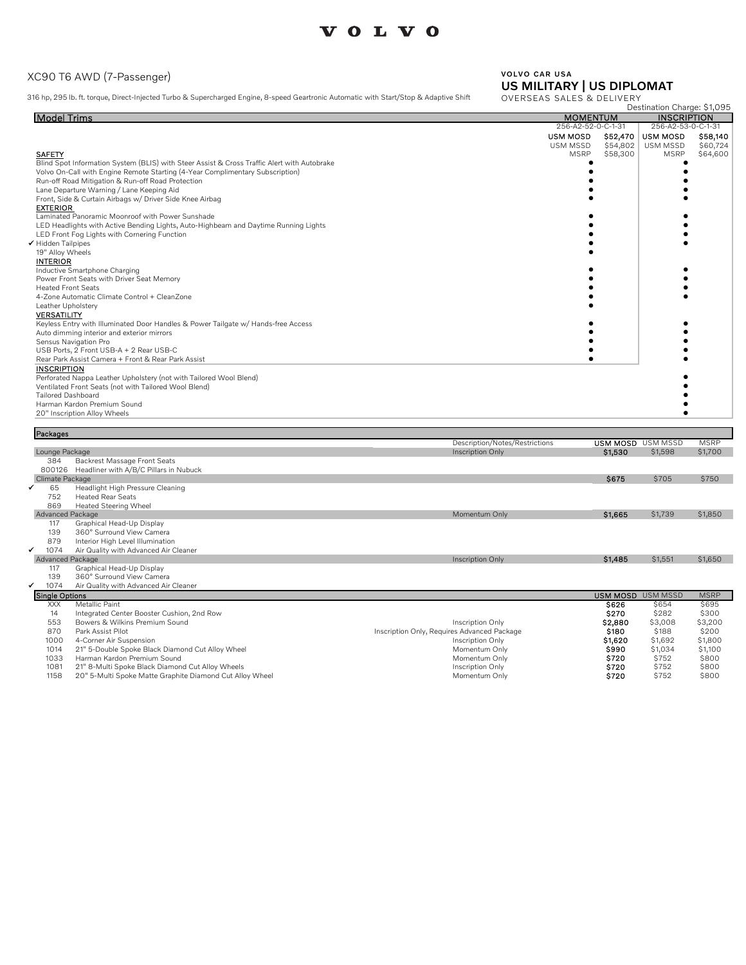#### XC90 T6 AWD (7-Passenger)

316 hp, 295 lb. ft. torque, Direct-Injected Turbo & Supercharged Engine, 8-speed Geartronic Automatic with Start/Stop & Adaptive Shift

## VOLVO CAR USA US MILITARY | US DIPLOMAT

Destination Charge: \$1,095 OVERSEAS SALES & DELIVERY

| <b>Model Trims</b>                                                                          | <b>MOMENTUM</b>             | <b>INSCRIPTION</b>          |
|---------------------------------------------------------------------------------------------|-----------------------------|-----------------------------|
|                                                                                             | 256-A2-52-0-C-1-31          | 256-A2-53-0-C-1-31          |
|                                                                                             | <b>USM MOSD</b><br>\$52,470 | \$58,140<br><b>USM MOSD</b> |
|                                                                                             | USM MSSD<br>\$54,802        | <b>USM MSSD</b><br>\$60,724 |
| <b>SAFETY</b>                                                                               | <b>MSRP</b><br>\$58,300     | <b>MSRP</b><br>\$64,600     |
| Blind Spot Information System (BLIS) with Steer Assist & Cross Traffic Alert with Autobrake |                             |                             |
| Volvo On-Call with Engine Remote Starting (4-Year Complimentary Subscription)               |                             |                             |
| Run-off Road Mitigation & Run-off Road Protection                                           |                             |                             |
| Lane Departure Warning / Lane Keeping Aid                                                   |                             |                             |
| Front, Side & Curtain Airbags w/ Driver Side Knee Airbag                                    |                             |                             |
| <b>EXTERIOR</b>                                                                             |                             |                             |
| Laminated Panoramic Moonroof with Power Sunshade                                            |                             |                             |
| LED Headlights with Active Bending Lights, Auto-Highbeam and Daytime Running Lights         |                             |                             |
| LED Front Fog Lights with Cornering Function                                                |                             |                             |
| ✔ Hidden Tailpipes                                                                          |                             |                             |
| 19" Alloy Wheels                                                                            |                             |                             |
| <b>INTERIOR</b>                                                                             |                             |                             |
| Inductive Smartphone Charging                                                               |                             |                             |
| Power Front Seats with Driver Seat Memory                                                   |                             |                             |
| <b>Heated Front Seats</b>                                                                   |                             |                             |
| 4-Zone Automatic Climate Control + CleanZone                                                |                             |                             |
| Leather Upholstery                                                                          |                             |                             |
| <b>VERSATILITY</b>                                                                          |                             |                             |
| Keyless Entry with Illuminated Door Handles & Power Tailgate w/ Hands-free Access           |                             |                             |
| Auto dimming interior and exterior mirrors                                                  |                             |                             |
| Sensus Navigation Pro                                                                       |                             |                             |
| USB Ports, 2 Front USB-A + 2 Rear USB-C                                                     |                             |                             |
| Rear Park Assist Camera + Front & Rear Park Assist                                          |                             |                             |
| <b>INSCRIPTION</b>                                                                          |                             |                             |
| Perforated Nappa Leather Upholstery (not with Tailored Wool Blend)                          |                             |                             |
| Ventilated Front Seats (not with Tailored Wool Blend)                                       |                             |                             |
| <b>Tailored Dashboard</b>                                                                   |                             |                             |
| Harman Kardon Premium Sound                                                                 |                             |                             |
| 20" Inscription Alloy Wheels                                                                |                             |                             |

| Packages              |                                                          |                                             |                          |         |             |
|-----------------------|----------------------------------------------------------|---------------------------------------------|--------------------------|---------|-------------|
|                       |                                                          | Description/Notes/Restrictions              | <b>USM MOSD</b> USM MSSD |         | <b>MSRP</b> |
| Lounge Package        |                                                          | Inscription Only                            | \$1,530                  | \$1,598 | \$1,700     |
| 384                   | Backrest Massage Front Seats                             |                                             |                          |         |             |
| 800126                | Headliner with A/B/C Pillars in Nubuck                   |                                             |                          |         |             |
| Climate Package       |                                                          |                                             | \$675                    | \$705   | \$750       |
| 65                    | Headlight High Pressure Cleaning                         |                                             |                          |         |             |
| 752                   | <b>Heated Rear Seats</b>                                 |                                             |                          |         |             |
| 869                   | <b>Heated Steering Wheel</b>                             |                                             |                          |         |             |
| Advanced Package      |                                                          | Momentum Only                               | \$1,665                  | \$1,739 | \$1,850     |
| 117                   | Graphical Head-Up Display                                |                                             |                          |         |             |
| 139                   | 360° Surround View Camera                                |                                             |                          |         |             |
| 879                   | Interior High Level Illumination                         |                                             |                          |         |             |
| 1074                  | Air Quality with Advanced Air Cleaner                    |                                             |                          |         |             |
| Advanced Package      |                                                          | <b>Inscription Only</b>                     | \$1,485                  | \$1,551 | \$1,650     |
| 117                   | Graphical Head-Up Display                                |                                             |                          |         |             |
| 139                   | 360° Surround View Camera                                |                                             |                          |         |             |
| 1074                  | Air Quality with Advanced Air Cleaner                    |                                             |                          |         |             |
| <b>Single Options</b> |                                                          |                                             | <b>USM MOSD USM MSSD</b> |         | <b>MSRP</b> |
| <b>XXX</b>            | Metallic Paint                                           |                                             | <b>S626</b>              | \$654   | \$695       |
| 14                    | Integrated Center Booster Cushion, 2nd Row               |                                             | \$270                    | \$282   | \$300       |
| 553                   | Bowers & Wilkins Premium Sound                           | Inscription Only                            | \$2,880                  | \$3,008 | \$3,200     |
| 870                   | Park Assist Pilot                                        | Inscription Only, Requires Advanced Package | \$180                    | \$188   | \$200       |
| 1000                  | 4-Corner Air Suspension                                  | Inscription Only                            | \$1,620                  | \$1,692 | \$1,800     |
| 1014                  | 21" 5-Double Spoke Black Diamond Cut Alloy Wheel         | Momentum Only                               | \$990                    | \$1,034 | \$1,100     |
| 1033                  | Harman Kardon Premium Sound                              | Momentum Only                               | \$720                    | \$752   | \$800       |
| 1081                  | 21" 8-Multi Spoke Black Diamond Cut Alloy Wheels         | Inscription Only                            | \$720                    | \$752   | \$800       |
| 1158                  | 20" 5-Multi Spoke Matte Graphite Diamond Cut Alloy Wheel | Momentum Only                               | \$720                    | \$752   | \$800       |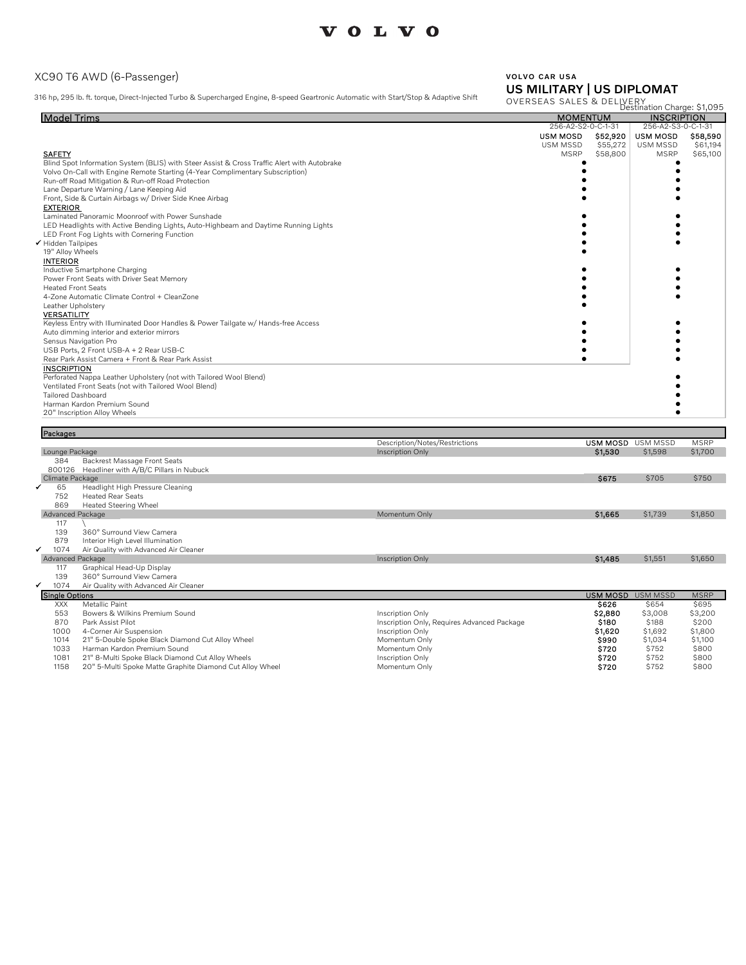#### XC90 T6 AWD (6-Passenger)

316 hp, 295 lb. ft. torque, Direct-Injected Turbo & Supercharged Engine, 8-speed Geartronic Automatic with Start/Stop & Adaptive Shift

## VOLVO CAR USA US MILITARY | US DIPLOMAT

Destination Charge: \$1,095 OVERSEAS SALES & DELIVERY

| <b>Model Trims</b>                                                                          |                    | <b>MOMENTUM</b> |                    | <b>INSCRIPTION</b> |
|---------------------------------------------------------------------------------------------|--------------------|-----------------|--------------------|--------------------|
|                                                                                             | 256-A2-S2-0-C-1-31 |                 | 256-A2-S3-0-C-1-31 |                    |
|                                                                                             | <b>USM MOSD</b>    | \$52,920        | <b>USM MOSD</b>    | \$58,590           |
|                                                                                             | USM MSSD           | \$55,272        | <b>USM MSSD</b>    | \$61,194           |
| <b>SAFETY</b>                                                                               | <b>MSRP</b>        | \$58,800        | <b>MSRP</b>        | \$65,100           |
| Blind Spot Information System (BLIS) with Steer Assist & Cross Traffic Alert with Autobrake |                    |                 |                    |                    |
| Volvo On-Call with Engine Remote Starting (4-Year Complimentary Subscription)               |                    |                 |                    |                    |
| Run-off Road Mitigation & Run-off Road Protection                                           |                    |                 |                    |                    |
| Lane Departure Warning / Lane Keeping Aid                                                   |                    |                 |                    |                    |
| Front, Side & Curtain Airbags w/ Driver Side Knee Airbag                                    |                    |                 |                    |                    |
| <b>EXTERIOR</b>                                                                             |                    |                 |                    |                    |
| Laminated Panoramic Moonroof with Power Sunshade                                            |                    |                 |                    |                    |
| LED Headlights with Active Bending Lights, Auto-Highbeam and Daytime Running Lights         |                    |                 |                    |                    |
| LED Front Fog Lights with Cornering Function                                                |                    |                 |                    |                    |
| ✔ Hidden Tailpipes                                                                          |                    |                 |                    |                    |
| 19" Alloy Wheels                                                                            |                    |                 |                    |                    |
| <b>INTERIOR</b>                                                                             |                    |                 |                    |                    |
| Inductive Smartphone Charging                                                               |                    |                 |                    |                    |
| Power Front Seats with Driver Seat Memory                                                   |                    |                 |                    |                    |
| <b>Heated Front Seats</b>                                                                   |                    |                 |                    |                    |
| 4-Zone Automatic Climate Control + CleanZone                                                |                    |                 |                    |                    |
| Leather Upholstery                                                                          |                    |                 |                    |                    |
| <b>VERSATILITY</b>                                                                          |                    |                 |                    |                    |
| Keyless Entry with Illuminated Door Handles & Power Tailgate w/ Hands-free Access           |                    |                 |                    |                    |
| Auto dimming interior and exterior mirrors                                                  |                    |                 |                    |                    |
| Sensus Navigation Pro                                                                       |                    |                 |                    |                    |
| USB Ports, 2 Front USB-A + 2 Rear USB-C                                                     |                    |                 |                    |                    |
| Rear Park Assist Camera + Front & Rear Park Assist                                          |                    |                 |                    |                    |
| <b>INSCRIPTION</b>                                                                          |                    |                 |                    |                    |
| Perforated Nappa Leather Upholstery (not with Tailored Wool Blend)                          |                    |                 |                    |                    |
| Ventilated Front Seats (not with Tailored Wool Blend)                                       |                    |                 |                    |                    |
| <b>Tailored Dashboard</b>                                                                   |                    |                 |                    |                    |
| Harman Kardon Premium Sound                                                                 |                    |                 |                    |                    |
| 20" Inscription Alloy Wheels                                                                |                    |                 |                    |                    |

| Packages              |                                                          |                                             |                 |                 |             |
|-----------------------|----------------------------------------------------------|---------------------------------------------|-----------------|-----------------|-------------|
|                       |                                                          | Description/Notes/Restrictions              | <b>USM MOSD</b> | <b>USM MSSD</b> | <b>MSRP</b> |
|                       | Lounge Package                                           | Inscription Only                            | \$1,530         | \$1,598         | \$1,700     |
| 384                   | Backrest Massage Front Seats                             |                                             |                 |                 |             |
| 800126                | Headliner with A/B/C Pillars in Nubuck                   |                                             |                 |                 |             |
|                       | Climate Package                                          |                                             | <b>S675</b>     | \$705           | \$750       |
| ✓<br>65               | Headlight High Pressure Cleaning                         |                                             |                 |                 |             |
| 752                   | <b>Heated Rear Seats</b>                                 |                                             |                 |                 |             |
| 869                   | Heated Steering Wheel                                    |                                             |                 |                 |             |
|                       | Advanced Package                                         | Momentum Only                               | \$1,665         | \$1,739         | \$1,850     |
| 117                   |                                                          |                                             |                 |                 |             |
| 139                   | 360° Surround View Camera                                |                                             |                 |                 |             |
| 879<br>✔              | Interior High Level Illumination                         |                                             |                 |                 |             |
| 1074                  | Air Quality with Advanced Air Cleaner                    |                                             |                 |                 |             |
| 117                   | Advanced Package                                         | <b>Inscription Only</b>                     | \$1,485         | \$1,551         | \$1,650     |
| 139                   | Graphical Head-Up Display<br>360° Surround View Camera   |                                             |                 |                 |             |
| ✔<br>1074             | Air Quality with Advanced Air Cleaner                    |                                             |                 |                 |             |
| <b>Single Options</b> |                                                          |                                             | <b>USM MOSD</b> | <b>USM MSSD</b> | <b>MSRP</b> |
| <b>XXX</b>            | Metallic Paint                                           |                                             | \$626           | \$654           | \$695       |
| 553                   | Bowers & Wilkins Premium Sound                           | Inscription Only                            | \$2,880         | \$3,008         | \$3,200     |
| 870                   | Park Assist Pilot                                        | Inscription Only, Requires Advanced Package | \$180           | \$188           | \$200       |
| 1000                  | 4-Corner Air Suspension                                  | Inscription Only                            | \$1,620         | \$1,692         | \$1,800     |
| 1014                  | 21" 5-Double Spoke Black Diamond Cut Alloy Wheel         | Momentum Only                               | \$990           | \$1,034         | \$1,100     |
| 1033                  | Harman Kardon Premium Sound                              | Momentum Only                               | \$720           | \$752           | \$800       |
| 1081                  | 21" 8-Multi Spoke Black Diamond Cut Alloy Wheels         | Inscription Only                            | \$720           | \$752           | \$800       |
| 1158                  | 20" 5-Multi Spoke Matte Graphite Diamond Cut Alloy Wheel | Momentum Only                               | \$720           | \$752           | \$800       |
|                       |                                                          |                                             |                 |                 |             |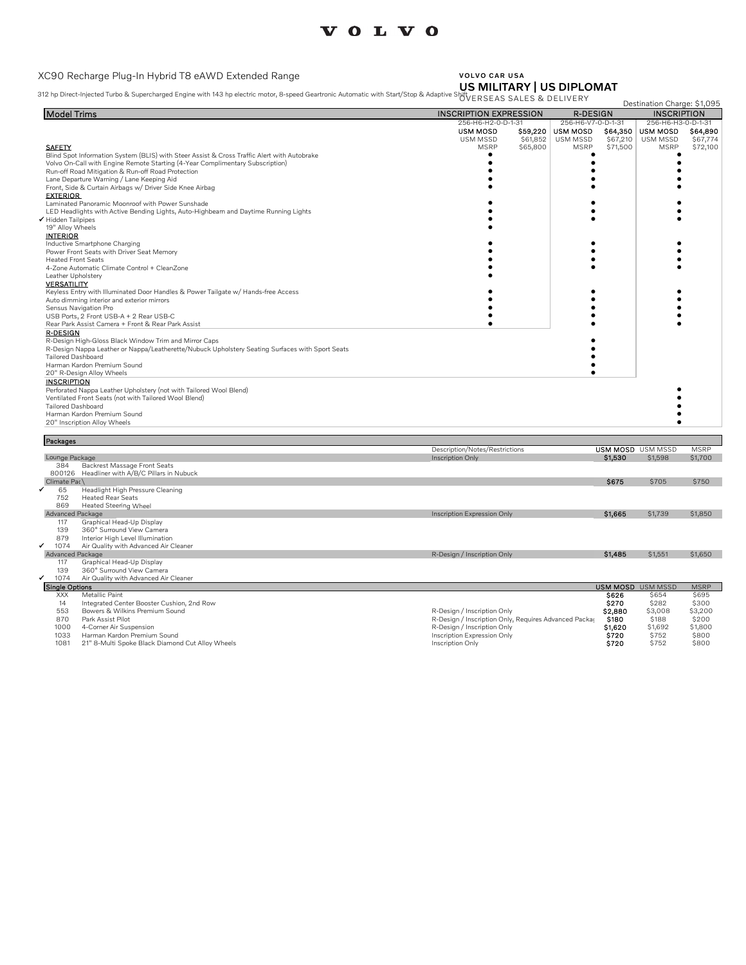#### XC90 Recharge Plug-In Hybrid T8 eAWD Extended Range

#### VOLVO CAR USA US MILITARY | US DIPLOMAT

312 hp Direct-Injected Turbo & Supercharged Engine with 143 hp electric motor, 8-speed Geartronic Automatic with Start/Stop & Ada

| 312 hp Direct-Injected Turbo&Supercharged Engine with 143 hp electric motor, 8-speed Geartronic Automatic with Start/Stop&Adaptive ShttvERSEAS SALES&DELIVERY |                                                                                   |                      | Destination Charge: \$1,095 |                      |
|---------------------------------------------------------------------------------------------------------------------------------------------------------------|-----------------------------------------------------------------------------------|----------------------|-----------------------------|----------------------|
| <b>Model Trims</b>                                                                                                                                            | <b>INSCRIPTION EXPRESSION</b><br><b>R-DESIGN</b>                                  |                      | <b>INSCRIPTION</b>          |                      |
|                                                                                                                                                               | 256-H6-H2-0-D-1-31<br>256-H6-V7-0-D-1-31                                          |                      | 256-H6-H3-0-D-1-31          |                      |
|                                                                                                                                                               | <b>USM MOSD</b><br><b>USM MOSD</b><br>\$59,220                                    | \$64,350             | <b>USM MOSD</b>             | \$64,890             |
| <b>SAFETY</b>                                                                                                                                                 | \$61,852<br>USM MSSD<br><b>USM MSSD</b><br><b>MSRP</b><br><b>MSRP</b><br>\$65,800 | \$67,210<br>\$71,500 | USM MSSD<br><b>MSRP</b>     | \$67,774<br>\$72,100 |
| Blind Spot Information System (BLIS) with Steer Assist & Cross Traffic Alert with Autobrake                                                                   |                                                                                   |                      |                             |                      |
| Volvo On-Call with Engine Remote Starting (4-Year Complimentary Subscription)                                                                                 |                                                                                   |                      |                             |                      |
| Run-off Road Mitigation & Run-off Road Protection                                                                                                             |                                                                                   |                      |                             |                      |
| Lane Departure Warning / Lane Keeping Aid                                                                                                                     |                                                                                   |                      |                             |                      |
| Front, Side & Curtain Airbags w/ Driver Side Knee Airbag                                                                                                      |                                                                                   |                      |                             |                      |
| <b>EXTERIOR</b>                                                                                                                                               |                                                                                   |                      |                             |                      |
| Laminated Panoramic Moonroof with Power Sunshade                                                                                                              |                                                                                   |                      |                             |                      |
| LED Headlights with Active Bending Lights, Auto-Highbeam and Daytime Running Lights                                                                           |                                                                                   |                      |                             |                      |
| Hidden Tailpipes                                                                                                                                              |                                                                                   |                      |                             |                      |
| 19" Alloy Wheels<br><b>INTERIOR</b>                                                                                                                           |                                                                                   |                      |                             |                      |
| Inductive Smartphone Charging                                                                                                                                 |                                                                                   |                      |                             |                      |
| Power Front Seats with Driver Seat Memory                                                                                                                     |                                                                                   |                      |                             |                      |
| <b>Heated Front Seats</b>                                                                                                                                     |                                                                                   |                      |                             |                      |
| 4-Zone Automatic Climate Control + CleanZone                                                                                                                  |                                                                                   |                      |                             |                      |
| Leather Upholstery                                                                                                                                            |                                                                                   |                      |                             |                      |
| <b>VERSATILITY</b>                                                                                                                                            |                                                                                   |                      |                             |                      |
| Keyless Entry with Illuminated Door Handles & Power Tailgate w/ Hands-free Access                                                                             |                                                                                   |                      |                             |                      |
| Auto dimming interior and exterior mirrors                                                                                                                    |                                                                                   |                      |                             |                      |
| Sensus Navigation Pro                                                                                                                                         |                                                                                   |                      |                             |                      |
| USB Ports, 2 Front USB-A + 2 Rear USB-C                                                                                                                       |                                                                                   |                      |                             |                      |
| Rear Park Assist Camera + Front & Rear Park Assist                                                                                                            |                                                                                   |                      |                             |                      |
| <b>R-DESIGN</b>                                                                                                                                               |                                                                                   |                      |                             |                      |
| R-Design High-Gloss Black Window Trim and Mirror Caps<br>R-Design Nappa Leather or Nappa/Leatherette/Nubuck Upholstery Seating Surfaces with Sport Seats      |                                                                                   |                      |                             |                      |
| <b>Tailored Dashboard</b>                                                                                                                                     |                                                                                   |                      |                             |                      |
| Harman Kardon Premium Sound                                                                                                                                   |                                                                                   |                      |                             |                      |
| 20" R-Design Alloy Wheels                                                                                                                                     |                                                                                   |                      |                             |                      |
| <b>INSCRIPTION</b>                                                                                                                                            |                                                                                   |                      |                             |                      |
| Perforated Nappa Leather Upholstery (not with Tailored Wool Blend)                                                                                            |                                                                                   |                      |                             |                      |
| Ventilated Front Seats (not with Tailored Wool Blend)                                                                                                         |                                                                                   |                      |                             |                      |
| <b>Tailored Dashboard</b>                                                                                                                                     |                                                                                   |                      |                             |                      |
| Harman Kardon Premium Sound                                                                                                                                   |                                                                                   |                      |                             |                      |
| 20" Inscription Alloy Wheels                                                                                                                                  |                                                                                   |                      |                             |                      |
| Packages                                                                                                                                                      |                                                                                   |                      |                             |                      |
|                                                                                                                                                               | Description/Notes/Restrictions                                                    |                      | <b>USM MOSD USM MSSD</b>    | <b>MSRP</b>          |
| Lounge Package                                                                                                                                                | Inscription Only                                                                  | \$1,530              | \$1,598                     | \$1,700              |
| Backrest Massage Front Seats<br>384                                                                                                                           |                                                                                   |                      |                             |                      |
| 800126 Headliner with A/B/C Pillars in Nubuck                                                                                                                 |                                                                                   |                      |                             |                      |
| Climate Pac\                                                                                                                                                  |                                                                                   | \$675                | \$705                       | \$750                |
| 65<br>Headlight High Pressure Cleaning                                                                                                                        |                                                                                   |                      |                             |                      |
| 752<br><b>Heated Rear Seats</b>                                                                                                                               |                                                                                   |                      |                             |                      |
| 869<br><b>Heated Steering Wheel</b>                                                                                                                           |                                                                                   |                      |                             |                      |
| <b>Advanced Package</b>                                                                                                                                       | Inscription Expression Only                                                       | \$1,665              | \$1,739                     | \$1,850              |
| Graphical Head-Up Display<br>117                                                                                                                              |                                                                                   |                      |                             |                      |
| 139<br>360° Surround View Camera<br>879                                                                                                                       |                                                                                   |                      |                             |                      |
| Interior High Level Illumination<br>1074<br>Air Quality with Advanced Air Cleaner                                                                             |                                                                                   |                      |                             |                      |
| Advanced Package                                                                                                                                              | R-Design / Inscription Only                                                       | <b>S1.485</b>        | \$1,551                     | \$1,650              |
| Graphical Head-Up Display<br>117                                                                                                                              |                                                                                   |                      |                             |                      |
| 139<br>360° Surround View Camera                                                                                                                              |                                                                                   |                      |                             |                      |
| 1074<br>Air Quality with Advanced Air Cleaner                                                                                                                 |                                                                                   |                      |                             |                      |
| <b>Single Options</b>                                                                                                                                         |                                                                                   |                      | <b>USM MOSD USM MSSD</b>    | <b>MSRP</b>          |
| <b>XXX</b><br>Metallic Paint                                                                                                                                  |                                                                                   | \$626                | \$654                       | \$695                |
| 14<br>Integrated Center Booster Cushion, 2nd Row                                                                                                              |                                                                                   | \$270                | \$282                       | \$300                |
| 553<br>Bowers & Wilkins Premium Sound                                                                                                                         | R-Design / Inscription Only                                                       | \$2,880              | \$3,008                     | \$3,200              |
| Park Assist Pilot<br>870                                                                                                                                      | R-Design / Inscription Only, Requires Advanced Packa                              | \$180                | \$188                       | \$200                |
| 1000<br>4-Corner Air Suspension                                                                                                                               | R-Design / Inscription Only                                                       | \$1,620              | \$1,692                     | \$1,800              |
| 1033<br>Harman Kardon Premium Sound                                                                                                                           | Inscription Expression Only                                                       | <b>S720</b>          | \$752                       | \$800                |
| 1081<br>21" 8-Multi Spoke Black Diamond Cut Alloy Wheels                                                                                                      | Inscription Only                                                                  | \$720                | \$752                       | \$800                |

- 
-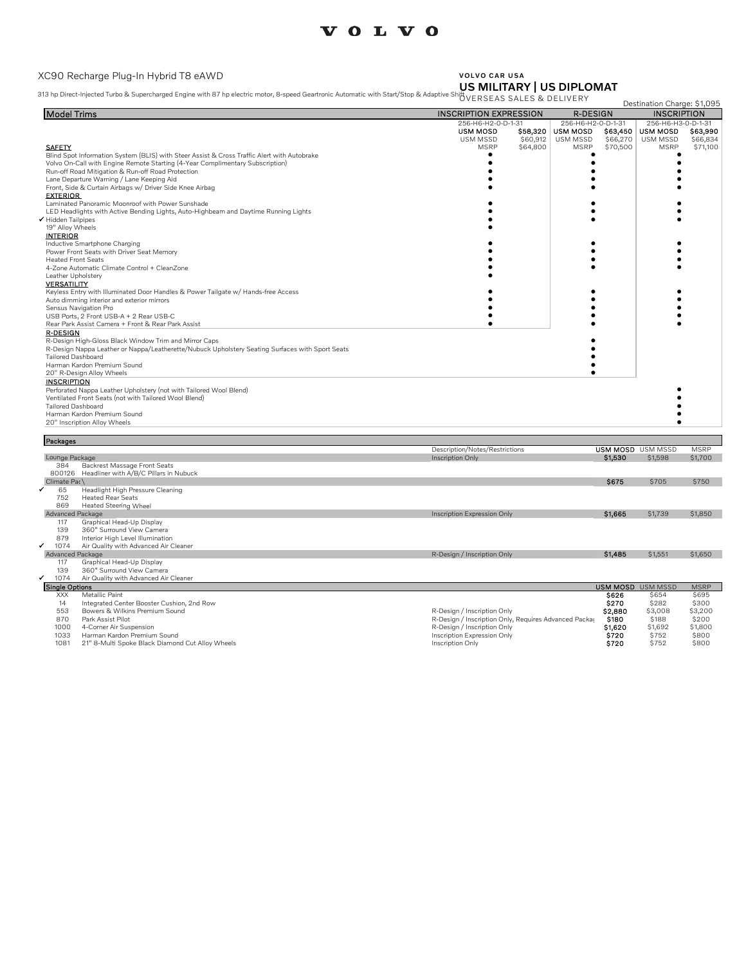### XC90 Recharge Plug-In Hybrid T8 eAWD

# VOLVO CAR USA US MILITARY | US DIPLOMAT

313 hp Direct-Injected Turbo & Supercharged Engine with 87 hp electric motor, 8-speed Geartronic Automatic with Start/Stop & Adaptive Shift

|                                                                                                 |                                    |                      |                                       |                      | Destination Charge: \$1,095<br><b>INSCRIPTION</b> |                      |
|-------------------------------------------------------------------------------------------------|------------------------------------|----------------------|---------------------------------------|----------------------|---------------------------------------------------|----------------------|
| <b>Model Trims</b>                                                                              | <b>INSCRIPTION EXPRESSION</b>      |                      | <b>R-DESIGN</b><br>256-H6-H2-0-D-1-31 |                      |                                                   |                      |
|                                                                                                 | 256-H6-H2-0-D-1-31                 |                      |                                       |                      | 256-H6-H3-0-D-1-31                                |                      |
|                                                                                                 | <b>USM MOSD</b><br><b>USM MSSD</b> | \$58,320<br>\$60,912 | <b>USM MOSD</b><br>USM MSSD           | \$63,450<br>\$66,270 | <b>USM MOSD</b><br>USM MSSD                       | \$63,990<br>\$66,834 |
| <b>SAFETY</b>                                                                                   | <b>MSRP</b>                        | \$64,800             | <b>MSRP</b>                           | \$70,500             | <b>MSRP</b>                                       | \$71,100             |
| Blind Spot Information System (BLIS) with Steer Assist & Cross Traffic Alert with Autobrake     |                                    |                      |                                       |                      |                                                   |                      |
| Volvo On-Call with Engine Remote Starting (4-Year Complimentary Subscription)                   |                                    |                      |                                       |                      |                                                   |                      |
| Run-off Road Mitigation & Run-off Road Protection                                               |                                    |                      |                                       |                      |                                                   |                      |
| Lane Departure Warning / Lane Keeping Aid                                                       |                                    |                      |                                       |                      |                                                   |                      |
| Front, Side & Curtain Airbags w/ Driver Side Knee Airbag                                        |                                    |                      |                                       |                      |                                                   |                      |
| <b>EXTERIOR</b>                                                                                 |                                    |                      |                                       |                      |                                                   |                      |
| Laminated Panoramic Moonroof with Power Sunshade                                                |                                    |                      |                                       |                      |                                                   |                      |
| LED Headlights with Active Bending Lights, Auto-Highbeam and Daytime Running Lights             |                                    |                      |                                       |                      |                                                   |                      |
| Hidden Tailpipes                                                                                |                                    |                      |                                       |                      |                                                   |                      |
| 19" Alloy Wheels                                                                                |                                    |                      |                                       |                      |                                                   |                      |
| <b>INTERIOR</b>                                                                                 |                                    |                      |                                       |                      |                                                   |                      |
| Inductive Smartphone Charging                                                                   |                                    |                      |                                       |                      |                                                   |                      |
| Power Front Seats with Driver Seat Memory                                                       |                                    |                      |                                       |                      |                                                   |                      |
| <b>Heated Front Seats</b>                                                                       |                                    |                      |                                       |                      |                                                   |                      |
| 4-Zone Automatic Climate Control + CleanZone                                                    |                                    |                      |                                       |                      |                                                   |                      |
| Leather Upholstery                                                                              |                                    |                      |                                       |                      |                                                   |                      |
| <b>VERSATILITY</b>                                                                              |                                    |                      |                                       |                      |                                                   |                      |
| Keyless Entry with Illuminated Door Handles & Power Tailgate w/ Hands-free Access               |                                    |                      |                                       |                      |                                                   |                      |
| Auto dimming interior and exterior mirrors                                                      |                                    |                      |                                       |                      |                                                   |                      |
| Sensus Navigation Pro                                                                           |                                    |                      |                                       |                      |                                                   |                      |
| USB Ports, 2 Front USB-A + 2 Rear USB-C                                                         |                                    |                      |                                       |                      |                                                   |                      |
| Rear Park Assist Camera + Front & Rear Park Assist                                              |                                    |                      |                                       |                      |                                                   |                      |
| <b>R-DESIGN</b>                                                                                 |                                    |                      |                                       |                      |                                                   |                      |
| R-Design High-Gloss Black Window Trim and Mirror Caps                                           |                                    |                      |                                       |                      |                                                   |                      |
| R-Design Nappa Leather or Nappa/Leatherette/Nubuck Upholstery Seating Surfaces with Sport Seats |                                    |                      |                                       |                      |                                                   |                      |
| <b>Tailored Dashboard</b>                                                                       |                                    |                      |                                       |                      |                                                   |                      |
| Harman Kardon Premium Sound                                                                     |                                    |                      |                                       |                      |                                                   |                      |
| 20" R-Design Alloy Wheels                                                                       |                                    |                      |                                       |                      |                                                   |                      |
| <b>INSCRIPTION</b>                                                                              |                                    |                      |                                       |                      |                                                   |                      |
| Perforated Nappa Leather Upholstery (not with Tailored Wool Blend)                              |                                    |                      |                                       |                      |                                                   |                      |
| Ventilated Front Seats (not with Tailored Wool Blend)                                           |                                    |                      |                                       |                      |                                                   |                      |
| <b>Tailored Dashboard</b>                                                                       |                                    |                      |                                       |                      |                                                   |                      |
| Harman Kardon Premium Sound                                                                     |                                    |                      |                                       |                      |                                                   |                      |
|                                                                                                 |                                    |                      |                                       |                      |                                                   |                      |
| 20" Inscription Alloy Wheels                                                                    |                                    |                      |                                       |                      |                                                   |                      |
| Packages                                                                                        |                                    |                      |                                       |                      |                                                   |                      |
|                                                                                                 | Description/Notes/Restrictions     |                      |                                       |                      | <b>USM MOSD</b> USM MSSD                          | <b>MSRP</b>          |
| Lounge Package                                                                                  | Inscription Only                   |                      |                                       | \$1,530              | \$1,598                                           | \$1,700              |
| 384<br>Backrest Massage Front Seats                                                             |                                    |                      |                                       |                      |                                                   |                      |
| 800126 Headliner with A/B/C Pillars in Nubuck                                                   |                                    |                      |                                       |                      |                                                   |                      |
| Climate Pac\                                                                                    |                                    |                      |                                       | \$675                | \$705                                             | \$750                |
| 65<br>Headlight High Pressure Cleaning                                                          |                                    |                      |                                       |                      |                                                   |                      |
| 752<br><b>Heated Rear Seats</b>                                                                 |                                    |                      |                                       |                      |                                                   |                      |
| 869<br>Heated Steering Wheel                                                                    |                                    |                      |                                       |                      |                                                   |                      |
| <b>Advanced Package</b>                                                                         | Inscription Expression Only        |                      |                                       | \$1,665              | \$1,739                                           | \$1,850              |
| 117<br>Graphical Head-Up Display                                                                |                                    |                      |                                       |                      |                                                   |                      |
| 139<br>360° Surround View Camera                                                                |                                    |                      |                                       |                      |                                                   |                      |
| 879<br>Interior High Level Illumination                                                         |                                    |                      |                                       |                      |                                                   |                      |
| Air Quality with Advanced Air Cleaner<br>✔<br>1074                                              |                                    |                      |                                       |                      |                                                   |                      |
| Advanced Package                                                                                | R-Design / Inscription Only        |                      |                                       | \$1,485              | \$1,551                                           | \$1,650              |
| 117<br>Graphical Head-Up Display                                                                |                                    |                      |                                       |                      |                                                   |                      |
| 139<br>360° Surround View Camera                                                                |                                    |                      |                                       |                      |                                                   |                      |
| 1074<br>Air Quality with Advanced Air Cleaner                                                   |                                    |                      |                                       |                      |                                                   |                      |
| <b>Single Options</b>                                                                           |                                    |                      |                                       |                      | <b>USM MOSD USM MSSD</b>                          | <b>MSRP</b>          |
| Metallic Paint<br><b>XXX</b>                                                                    |                                    |                      |                                       | \$626                | \$654                                             | \$695                |
| Integrated Center Booster Cushion, 2nd Pow<br>11                                                |                                    |                      |                                       | 4070                 | CORO                                              | <b>CROO</b>          |

| $\sim$ | $V = 0.01111$ 0.11.11                            |                                                       | - - - - | マロンサ    | JUJJ    |
|--------|--------------------------------------------------|-------------------------------------------------------|---------|---------|---------|
| 14     | Integrated Center Booster Cushion, 2nd Row       |                                                       | \$270   | \$282   | \$300   |
| 553    | Bowers & Wilkins Premium Sound                   | R-Design / Inscription Only                           | \$2,880 | \$3,008 | \$3,200 |
| 870    | Park Assist Pilot                                | R-Design / Inscription Only, Requires Advanced Packar | \$180   | \$188   | \$200   |
| 1000   | 4-Corner Air Suspension                          | R-Design / Inscription Only                           | \$1.620 | \$1,692 | \$1,800 |
| 1033   | Harman Kardon Premium Sound                      | Inscription Expression Only                           | \$720   | \$752   | \$800   |
| 1081   | 21" 8-Multi Spoke Black Diamond Cut Alloy Wheels | Inscription Only                                      | \$720   | \$752   | \$800   |
|        |                                                  |                                                       |         |         |         |